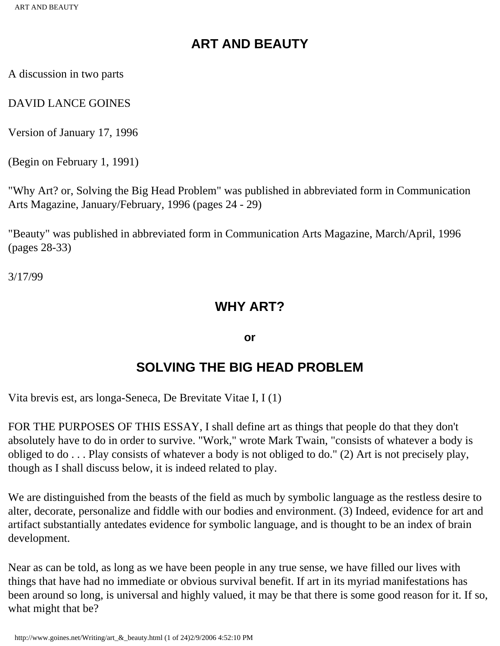A discussion in two parts

DAVID LANCE GOINES

Version of January 17, 1996

(Begin on February 1, 1991)

"Why Art? or, Solving the Big Head Problem" was published in abbreviated form in Communication Arts Magazine, January/February, 1996 (pages 24 - 29)

"Beauty" was published in abbreviated form in Communication Arts Magazine, March/April, 1996 (pages 28-33)

3/17/99

## **WHY ART?**

### **or**

## **SOLVING THE BIG HEAD PROBLEM**

Vita brevis est, ars longa-Seneca, De Brevitate Vitae I, I (1)

FOR THE PURPOSES OF THIS ESSAY, I shall define art as things that people do that they don't absolutely have to do in order to survive. "Work," wrote Mark Twain, "consists of whatever a body is obliged to do . . . Play consists of whatever a body is not obliged to do." (2) Art is not precisely play, though as I shall discuss below, it is indeed related to play.

We are distinguished from the beasts of the field as much by symbolic language as the restless desire to alter, decorate, personalize and fiddle with our bodies and environment. (3) Indeed, evidence for art and artifact substantially antedates evidence for symbolic language, and is thought to be an index of brain development.

Near as can be told, as long as we have been people in any true sense, we have filled our lives with things that have had no immediate or obvious survival benefit. If art in its myriad manifestations has been around so long, is universal and highly valued, it may be that there is some good reason for it. If so, what might that be?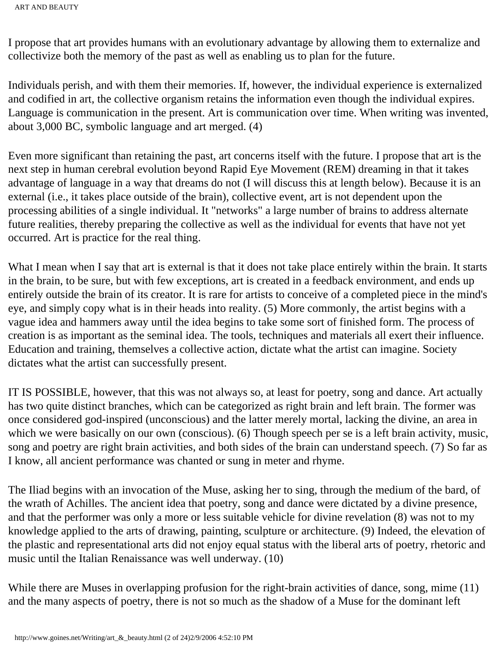I propose that art provides humans with an evolutionary advantage by allowing them to externalize and collectivize both the memory of the past as well as enabling us to plan for the future.

Individuals perish, and with them their memories. If, however, the individual experience is externalized and codified in art, the collective organism retains the information even though the individual expires. Language is communication in the present. Art is communication over time. When writing was invented, about 3,000 BC, symbolic language and art merged. (4)

Even more significant than retaining the past, art concerns itself with the future. I propose that art is the next step in human cerebral evolution beyond Rapid Eye Movement (REM) dreaming in that it takes advantage of language in a way that dreams do not (I will discuss this at length below). Because it is an external (i.e., it takes place outside of the brain), collective event, art is not dependent upon the processing abilities of a single individual. It "networks" a large number of brains to address alternate future realities, thereby preparing the collective as well as the individual for events that have not yet occurred. Art is practice for the real thing.

What I mean when I say that art is external is that it does not take place entirely within the brain. It starts in the brain, to be sure, but with few exceptions, art is created in a feedback environment, and ends up entirely outside the brain of its creator. It is rare for artists to conceive of a completed piece in the mind's eye, and simply copy what is in their heads into reality. (5) More commonly, the artist begins with a vague idea and hammers away until the idea begins to take some sort of finished form. The process of creation is as important as the seminal idea. The tools, techniques and materials all exert their influence. Education and training, themselves a collective action, dictate what the artist can imagine. Society dictates what the artist can successfully present.

IT IS POSSIBLE, however, that this was not always so, at least for poetry, song and dance. Art actually has two quite distinct branches, which can be categorized as right brain and left brain. The former was once considered god-inspired (unconscious) and the latter merely mortal, lacking the divine, an area in which we were basically on our own (conscious). (6) Though speech per se is a left brain activity, music, song and poetry are right brain activities, and both sides of the brain can understand speech. (7) So far as I know, all ancient performance was chanted or sung in meter and rhyme.

The Iliad begins with an invocation of the Muse, asking her to sing, through the medium of the bard, of the wrath of Achilles. The ancient idea that poetry, song and dance were dictated by a divine presence, and that the performer was only a more or less suitable vehicle for divine revelation (8) was not to my knowledge applied to the arts of drawing, painting, sculpture or architecture. (9) Indeed, the elevation of the plastic and representational arts did not enjoy equal status with the liberal arts of poetry, rhetoric and music until the Italian Renaissance was well underway. (10)

While there are Muses in overlapping profusion for the right-brain activities of dance, song, mime (11) and the many aspects of poetry, there is not so much as the shadow of a Muse for the dominant left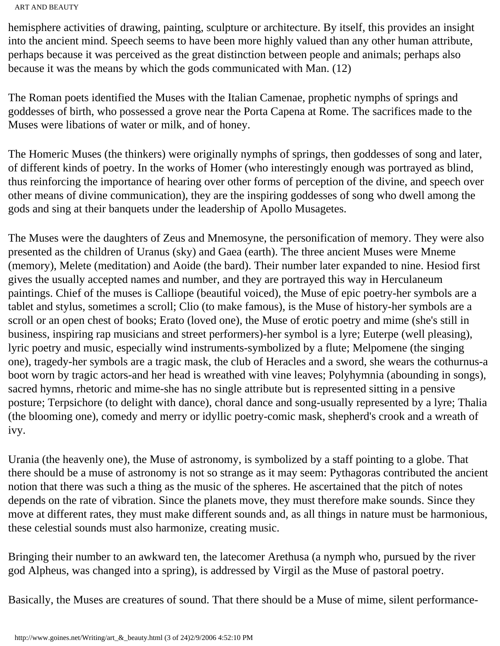```
ART AND BEAUTY
```
hemisphere activities of drawing, painting, sculpture or architecture. By itself, this provides an insight into the ancient mind. Speech seems to have been more highly valued than any other human attribute, perhaps because it was perceived as the great distinction between people and animals; perhaps also because it was the means by which the gods communicated with Man. (12)

The Roman poets identified the Muses with the Italian Camenae, prophetic nymphs of springs and goddesses of birth, who possessed a grove near the Porta Capena at Rome. The sacrifices made to the Muses were libations of water or milk, and of honey.

The Homeric Muses (the thinkers) were originally nymphs of springs, then goddesses of song and later, of different kinds of poetry. In the works of Homer (who interestingly enough was portrayed as blind, thus reinforcing the importance of hearing over other forms of perception of the divine, and speech over other means of divine communication), they are the inspiring goddesses of song who dwell among the gods and sing at their banquets under the leadership of Apollo Musagetes.

The Muses were the daughters of Zeus and Mnemosyne, the personification of memory. They were also presented as the children of Uranus (sky) and Gaea (earth). The three ancient Muses were Mneme (memory), Melete (meditation) and Aoide (the bard). Their number later expanded to nine. Hesiod first gives the usually accepted names and number, and they are portrayed this way in Herculaneum paintings. Chief of the muses is Calliope (beautiful voiced), the Muse of epic poetry-her symbols are a tablet and stylus, sometimes a scroll; Clio (to make famous), is the Muse of history-her symbols are a scroll or an open chest of books; Erato (loved one), the Muse of erotic poetry and mime (she's still in business, inspiring rap musicians and street performers)-her symbol is a lyre; Euterpe (well pleasing), lyric poetry and music, especially wind instruments-symbolized by a flute; Melpomene (the singing one), tragedy-her symbols are a tragic mask, the club of Heracles and a sword, she wears the cothurnus-a boot worn by tragic actors-and her head is wreathed with vine leaves; Polyhymnia (abounding in songs), sacred hymns, rhetoric and mime-she has no single attribute but is represented sitting in a pensive posture; Terpsichore (to delight with dance), choral dance and song-usually represented by a lyre; Thalia (the blooming one), comedy and merry or idyllic poetry-comic mask, shepherd's crook and a wreath of ivy.

Urania (the heavenly one), the Muse of astronomy, is symbolized by a staff pointing to a globe. That there should be a muse of astronomy is not so strange as it may seem: Pythagoras contributed the ancient notion that there was such a thing as the music of the spheres. He ascertained that the pitch of notes depends on the rate of vibration. Since the planets move, they must therefore make sounds. Since they move at different rates, they must make different sounds and, as all things in nature must be harmonious, these celestial sounds must also harmonize, creating music.

Bringing their number to an awkward ten, the latecomer Arethusa (a nymph who, pursued by the river god Alpheus, was changed into a spring), is addressed by Virgil as the Muse of pastoral poetry.

Basically, the Muses are creatures of sound. That there should be a Muse of mime, silent performance-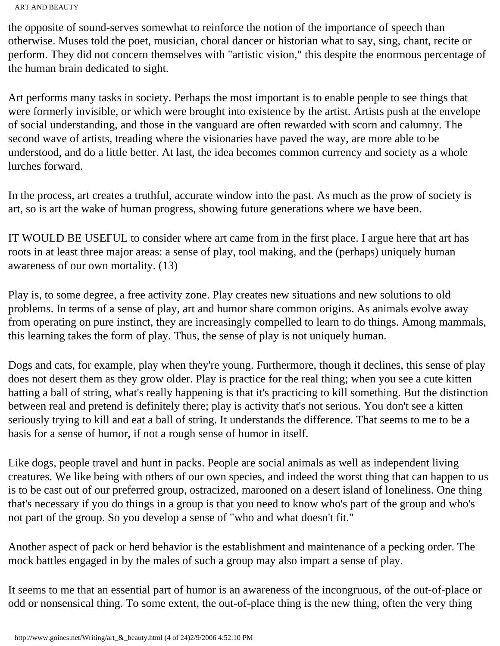```
ART AND BEAUTY
```
the opposite of sound-serves somewhat to reinforce the notion of the importance of speech than otherwise. Muses told the poet, musician, choral dancer or historian what to say, sing, chant, recite or perform. They did not concern themselves with "artistic vision," this despite the enormous percentage of the human brain dedicated to sight.

Art performs many tasks in society. Perhaps the most important is to enable people to see things that were formerly invisible, or which were brought into existence by the artist. Artists push at the envelope of social understanding, and those in the vanguard are often rewarded with scorn and calumny. The second wave of artists, treading where the visionaries have paved the way, are more able to be understood, and do a little better. At last, the idea becomes common currency and society as a whole lurches forward.

In the process, art creates a truthful, accurate window into the past. As much as the prow of society is art, so is art the wake of human progress, showing future generations where we have been.

IT WOULD BE USEFUL to consider where art came from in the first place. I argue here that art has roots in at least three major areas: a sense of play, tool making, and the (perhaps) uniquely human awareness of our own mortality. (13)

Play is, to some degree, a free activity zone. Play creates new situations and new solutions to old problems. In terms of a sense of play, art and humor share common origins. As animals evolve away from operating on pure instinct, they are increasingly compelled to learn to do things. Among mammals, this learning takes the form of play. Thus, the sense of play is not uniquely human.

Dogs and cats, for example, play when they're young. Furthermore, though it declines, this sense of play does not desert them as they grow older. Play is practice for the real thing; when you see a cute kitten batting a ball of string, what's really happening is that it's practicing to kill something. But the distinction between real and pretend is definitely there; play is activity that's not serious. You don't see a kitten seriously trying to kill and eat a ball of string. It understands the difference. That seems to me to be a basis for a sense of humor, if not a rough sense of humor in itself.

Like dogs, people travel and hunt in packs. People are social animals as well as independent living creatures. We like being with others of our own species, and indeed the worst thing that can happen to us is to be cast out of our preferred group, ostracized, marooned on a desert island of loneliness. One thing that's necessary if you do things in a group is that you need to know who's part of the group and who's not part of the group. So you develop a sense of "who and what doesn't fit."

Another aspect of pack or herd behavior is the establishment and maintenance of a pecking order. The mock battles engaged in by the males of such a group may also impart a sense of play.

It seems to me that an essential part of humor is an awareness of the incongruous, of the out-of-place or odd or nonsensical thing. To some extent, the out-of-place thing is the new thing, often the very thing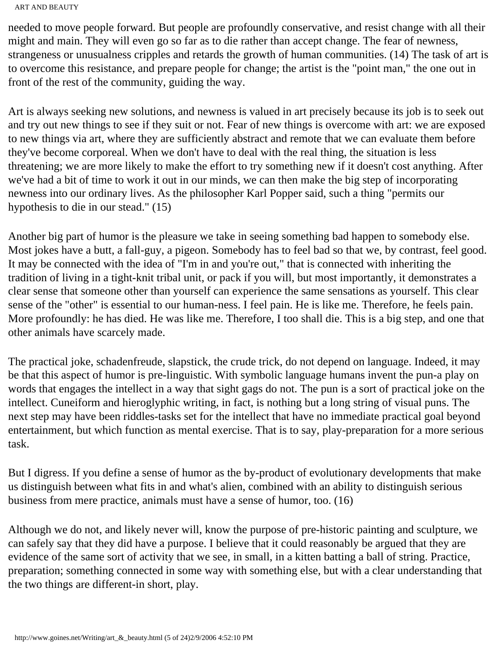needed to move people forward. But people are profoundly conservative, and resist change with all their might and main. They will even go so far as to die rather than accept change. The fear of newness, strangeness or unusualness cripples and retards the growth of human communities. (14) The task of art is to overcome this resistance, and prepare people for change; the artist is the "point man," the one out in front of the rest of the community, guiding the way.

Art is always seeking new solutions, and newness is valued in art precisely because its job is to seek out and try out new things to see if they suit or not. Fear of new things is overcome with art: we are exposed to new things via art, where they are sufficiently abstract and remote that we can evaluate them before they've become corporeal. When we don't have to deal with the real thing, the situation is less threatening; we are more likely to make the effort to try something new if it doesn't cost anything. After we've had a bit of time to work it out in our minds, we can then make the big step of incorporating newness into our ordinary lives. As the philosopher Karl Popper said, such a thing "permits our hypothesis to die in our stead." (15)

Another big part of humor is the pleasure we take in seeing something bad happen to somebody else. Most jokes have a butt, a fall-guy, a pigeon. Somebody has to feel bad so that we, by contrast, feel good. It may be connected with the idea of "I'm in and you're out," that is connected with inheriting the tradition of living in a tight-knit tribal unit, or pack if you will, but most importantly, it demonstrates a clear sense that someone other than yourself can experience the same sensations as yourself. This clear sense of the "other" is essential to our human-ness. I feel pain. He is like me. Therefore, he feels pain. More profoundly: he has died. He was like me. Therefore, I too shall die. This is a big step, and one that other animals have scarcely made.

The practical joke, schadenfreude, slapstick, the crude trick, do not depend on language. Indeed, it may be that this aspect of humor is pre-linguistic. With symbolic language humans invent the pun-a play on words that engages the intellect in a way that sight gags do not. The pun is a sort of practical joke on the intellect. Cuneiform and hieroglyphic writing, in fact, is nothing but a long string of visual puns. The next step may have been riddles-tasks set for the intellect that have no immediate practical goal beyond entertainment, but which function as mental exercise. That is to say, play-preparation for a more serious task.

But I digress. If you define a sense of humor as the by-product of evolutionary developments that make us distinguish between what fits in and what's alien, combined with an ability to distinguish serious business from mere practice, animals must have a sense of humor, too. (16)

Although we do not, and likely never will, know the purpose of pre-historic painting and sculpture, we can safely say that they did have a purpose. I believe that it could reasonably be argued that they are evidence of the same sort of activity that we see, in small, in a kitten batting a ball of string. Practice, preparation; something connected in some way with something else, but with a clear understanding that the two things are different-in short, play.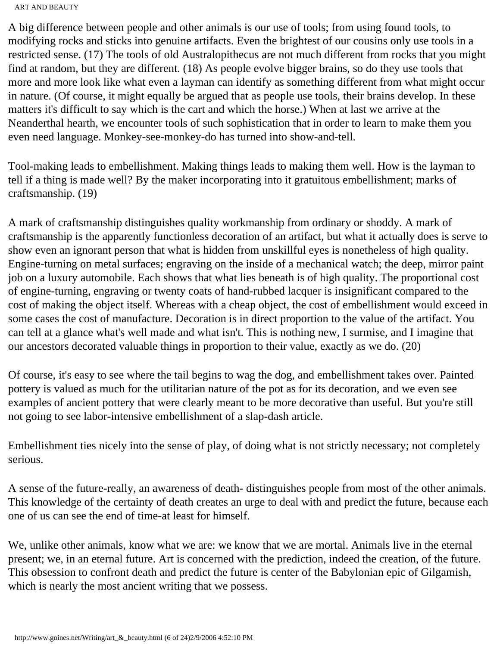A big difference between people and other animals is our use of tools; from using found tools, to modifying rocks and sticks into genuine artifacts. Even the brightest of our cousins only use tools in a restricted sense. (17) The tools of old Australopithecus are not much different from rocks that you might find at random, but they are different. (18) As people evolve bigger brains, so do they use tools that more and more look like what even a layman can identify as something different from what might occur in nature. (Of course, it might equally be argued that as people use tools, their brains develop. In these matters it's difficult to say which is the cart and which the horse.) When at last we arrive at the Neanderthal hearth, we encounter tools of such sophistication that in order to learn to make them you even need language. Monkey-see-monkey-do has turned into show-and-tell.

Tool-making leads to embellishment. Making things leads to making them well. How is the layman to tell if a thing is made well? By the maker incorporating into it gratuitous embellishment; marks of craftsmanship. (19)

A mark of craftsmanship distinguishes quality workmanship from ordinary or shoddy. A mark of craftsmanship is the apparently functionless decoration of an artifact, but what it actually does is serve to show even an ignorant person that what is hidden from unskillful eyes is nonetheless of high quality. Engine-turning on metal surfaces; engraving on the inside of a mechanical watch; the deep, mirror paint job on a luxury automobile. Each shows that what lies beneath is of high quality. The proportional cost of engine-turning, engraving or twenty coats of hand-rubbed lacquer is insignificant compared to the cost of making the object itself. Whereas with a cheap object, the cost of embellishment would exceed in some cases the cost of manufacture. Decoration is in direct proportion to the value of the artifact. You can tell at a glance what's well made and what isn't. This is nothing new, I surmise, and I imagine that our ancestors decorated valuable things in proportion to their value, exactly as we do. (20)

Of course, it's easy to see where the tail begins to wag the dog, and embellishment takes over. Painted pottery is valued as much for the utilitarian nature of the pot as for its decoration, and we even see examples of ancient pottery that were clearly meant to be more decorative than useful. But you're still not going to see labor-intensive embellishment of a slap-dash article.

Embellishment ties nicely into the sense of play, of doing what is not strictly necessary; not completely serious.

A sense of the future-really, an awareness of death- distinguishes people from most of the other animals. This knowledge of the certainty of death creates an urge to deal with and predict the future, because each one of us can see the end of time-at least for himself.

We, unlike other animals, know what we are: we know that we are mortal. Animals live in the eternal present; we, in an eternal future. Art is concerned with the prediction, indeed the creation, of the future. This obsession to confront death and predict the future is center of the Babylonian epic of Gilgamish, which is nearly the most ancient writing that we possess.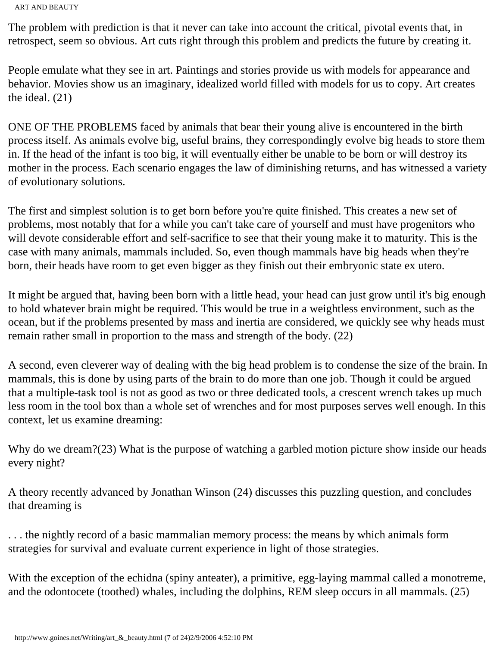```
ART AND BEAUTY
```
The problem with prediction is that it never can take into account the critical, pivotal events that, in retrospect, seem so obvious. Art cuts right through this problem and predicts the future by creating it.

People emulate what they see in art. Paintings and stories provide us with models for appearance and behavior. Movies show us an imaginary, idealized world filled with models for us to copy. Art creates the ideal. (21)

ONE OF THE PROBLEMS faced by animals that bear their young alive is encountered in the birth process itself. As animals evolve big, useful brains, they correspondingly evolve big heads to store them in. If the head of the infant is too big, it will eventually either be unable to be born or will destroy its mother in the process. Each scenario engages the law of diminishing returns, and has witnessed a variety of evolutionary solutions.

The first and simplest solution is to get born before you're quite finished. This creates a new set of problems, most notably that for a while you can't take care of yourself and must have progenitors who will devote considerable effort and self-sacrifice to see that their young make it to maturity. This is the case with many animals, mammals included. So, even though mammals have big heads when they're born, their heads have room to get even bigger as they finish out their embryonic state ex utero.

It might be argued that, having been born with a little head, your head can just grow until it's big enough to hold whatever brain might be required. This would be true in a weightless environment, such as the ocean, but if the problems presented by mass and inertia are considered, we quickly see why heads must remain rather small in proportion to the mass and strength of the body. (22)

A second, even cleverer way of dealing with the big head problem is to condense the size of the brain. In mammals, this is done by using parts of the brain to do more than one job. Though it could be argued that a multiple-task tool is not as good as two or three dedicated tools, a crescent wrench takes up much less room in the tool box than a whole set of wrenches and for most purposes serves well enough. In this context, let us examine dreaming:

Why do we dream?(23) What is the purpose of watching a garbled motion picture show inside our heads every night?

A theory recently advanced by Jonathan Winson (24) discusses this puzzling question, and concludes that dreaming is

. . . the nightly record of a basic mammalian memory process: the means by which animals form strategies for survival and evaluate current experience in light of those strategies.

With the exception of the echidna (spiny anteater), a primitive, egg-laying mammal called a monotreme, and the odontocete (toothed) whales, including the dolphins, REM sleep occurs in all mammals. (25)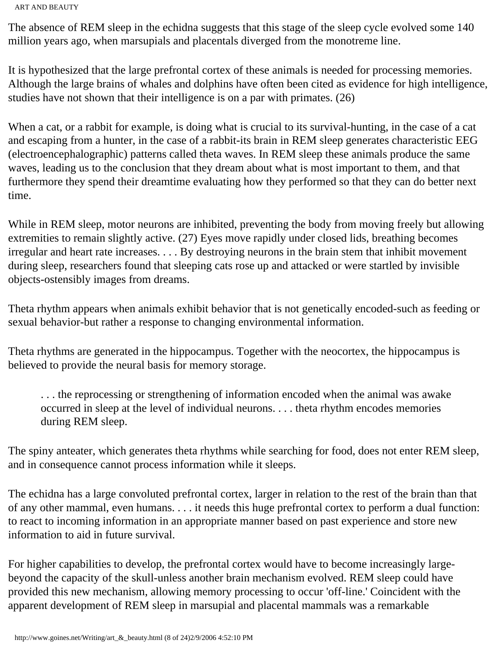The absence of REM sleep in the echidna suggests that this stage of the sleep cycle evolved some 140 million years ago, when marsupials and placentals diverged from the monotreme line.

It is hypothesized that the large prefrontal cortex of these animals is needed for processing memories. Although the large brains of whales and dolphins have often been cited as evidence for high intelligence, studies have not shown that their intelligence is on a par with primates. (26)

When a cat, or a rabbit for example, is doing what is crucial to its survival-hunting, in the case of a cat and escaping from a hunter, in the case of a rabbit-its brain in REM sleep generates characteristic EEG (electroencephalographic) patterns called theta waves. In REM sleep these animals produce the same waves, leading us to the conclusion that they dream about what is most important to them, and that furthermore they spend their dreamtime evaluating how they performed so that they can do better next time.

While in REM sleep, motor neurons are inhibited, preventing the body from moving freely but allowing extremities to remain slightly active. (27) Eyes move rapidly under closed lids, breathing becomes irregular and heart rate increases. . . . By destroying neurons in the brain stem that inhibit movement during sleep, researchers found that sleeping cats rose up and attacked or were startled by invisible objects-ostensibly images from dreams.

Theta rhythm appears when animals exhibit behavior that is not genetically encoded-such as feeding or sexual behavior-but rather a response to changing environmental information.

Theta rhythms are generated in the hippocampus. Together with the neocortex, the hippocampus is believed to provide the neural basis for memory storage.

. . . the reprocessing or strengthening of information encoded when the animal was awake occurred in sleep at the level of individual neurons. . . . theta rhythm encodes memories during REM sleep.

The spiny anteater, which generates theta rhythms while searching for food, does not enter REM sleep, and in consequence cannot process information while it sleeps.

The echidna has a large convoluted prefrontal cortex, larger in relation to the rest of the brain than that of any other mammal, even humans. . . . it needs this huge prefrontal cortex to perform a dual function: to react to incoming information in an appropriate manner based on past experience and store new information to aid in future survival.

For higher capabilities to develop, the prefrontal cortex would have to become increasingly largebeyond the capacity of the skull-unless another brain mechanism evolved. REM sleep could have provided this new mechanism, allowing memory processing to occur 'off-line.' Coincident with the apparent development of REM sleep in marsupial and placental mammals was a remarkable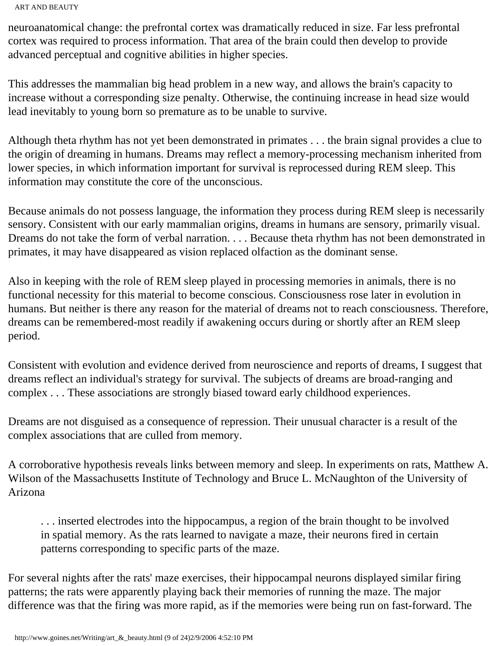```
ART AND BEAUTY
```
neuroanatomical change: the prefrontal cortex was dramatically reduced in size. Far less prefrontal cortex was required to process information. That area of the brain could then develop to provide advanced perceptual and cognitive abilities in higher species.

This addresses the mammalian big head problem in a new way, and allows the brain's capacity to increase without a corresponding size penalty. Otherwise, the continuing increase in head size would lead inevitably to young born so premature as to be unable to survive.

Although theta rhythm has not yet been demonstrated in primates . . . the brain signal provides a clue to the origin of dreaming in humans. Dreams may reflect a memory-processing mechanism inherited from lower species, in which information important for survival is reprocessed during REM sleep. This information may constitute the core of the unconscious.

Because animals do not possess language, the information they process during REM sleep is necessarily sensory. Consistent with our early mammalian origins, dreams in humans are sensory, primarily visual. Dreams do not take the form of verbal narration. . . . Because theta rhythm has not been demonstrated in primates, it may have disappeared as vision replaced olfaction as the dominant sense.

Also in keeping with the role of REM sleep played in processing memories in animals, there is no functional necessity for this material to become conscious. Consciousness rose later in evolution in humans. But neither is there any reason for the material of dreams not to reach consciousness. Therefore, dreams can be remembered-most readily if awakening occurs during or shortly after an REM sleep period.

Consistent with evolution and evidence derived from neuroscience and reports of dreams, I suggest that dreams reflect an individual's strategy for survival. The subjects of dreams are broad-ranging and complex . . . These associations are strongly biased toward early childhood experiences.

Dreams are not disguised as a consequence of repression. Their unusual character is a result of the complex associations that are culled from memory.

A corroborative hypothesis reveals links between memory and sleep. In experiments on rats, Matthew A. Wilson of the Massachusetts Institute of Technology and Bruce L. McNaughton of the University of Arizona

. . . inserted electrodes into the hippocampus, a region of the brain thought to be involved in spatial memory. As the rats learned to navigate a maze, their neurons fired in certain patterns corresponding to specific parts of the maze.

For several nights after the rats' maze exercises, their hippocampal neurons displayed similar firing patterns; the rats were apparently playing back their memories of running the maze. The major difference was that the firing was more rapid, as if the memories were being run on fast-forward. The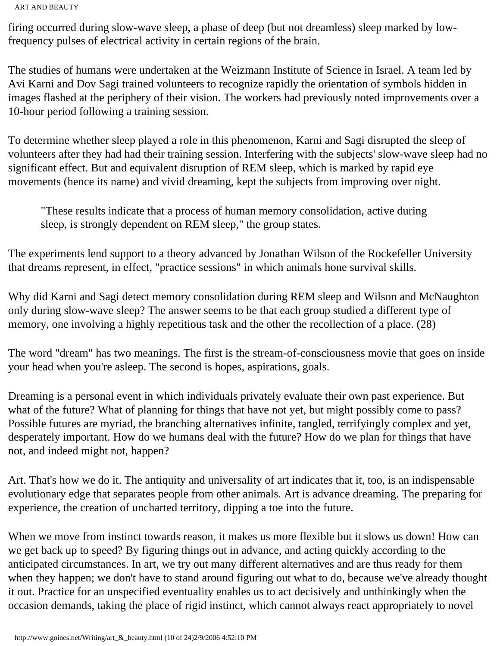firing occurred during slow-wave sleep, a phase of deep (but not dreamless) sleep marked by lowfrequency pulses of electrical activity in certain regions of the brain.

The studies of humans were undertaken at the Weizmann Institute of Science in Israel. A team led by Avi Karni and Dov Sagi trained volunteers to recognize rapidly the orientation of symbols hidden in images flashed at the periphery of their vision. The workers had previously noted improvements over a 10-hour period following a training session.

To determine whether sleep played a role in this phenomenon, Karni and Sagi disrupted the sleep of volunteers after they had had their training session. Interfering with the subjects' slow-wave sleep had no significant effect. But and equivalent disruption of REM sleep, which is marked by rapid eye movements (hence its name) and vivid dreaming, kept the subjects from improving over night.

"These results indicate that a process of human memory consolidation, active during sleep, is strongly dependent on REM sleep," the group states.

The experiments lend support to a theory advanced by Jonathan Wilson of the Rockefeller University that dreams represent, in effect, "practice sessions" in which animals hone survival skills.

Why did Karni and Sagi detect memory consolidation during REM sleep and Wilson and McNaughton only during slow-wave sleep? The answer seems to be that each group studied a different type of memory, one involving a highly repetitious task and the other the recollection of a place. (28)

The word "dream" has two meanings. The first is the stream-of-consciousness movie that goes on inside your head when you're asleep. The second is hopes, aspirations, goals.

Dreaming is a personal event in which individuals privately evaluate their own past experience. But what of the future? What of planning for things that have not yet, but might possibly come to pass? Possible futures are myriad, the branching alternatives infinite, tangled, terrifyingly complex and yet, desperately important. How do we humans deal with the future? How do we plan for things that have not, and indeed might not, happen?

Art. That's how we do it. The antiquity and universality of art indicates that it, too, is an indispensable evolutionary edge that separates people from other animals. Art is advance dreaming. The preparing for experience, the creation of uncharted territory, dipping a toe into the future.

When we move from instinct towards reason, it makes us more flexible but it slows us down! How can we get back up to speed? By figuring things out in advance, and acting quickly according to the anticipated circumstances. In art, we try out many different alternatives and are thus ready for them when they happen; we don't have to stand around figuring out what to do, because we've already thought it out. Practice for an unspecified eventuality enables us to act decisively and unthinkingly when the occasion demands, taking the place of rigid instinct, which cannot always react appropriately to novel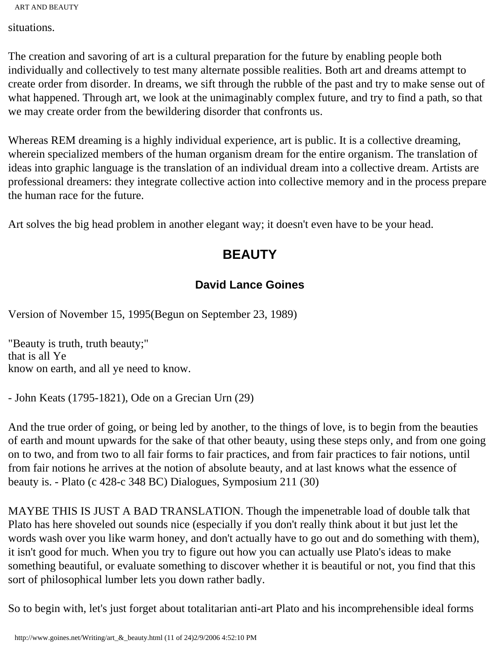situations.

The creation and savoring of art is a cultural preparation for the future by enabling people both individually and collectively to test many alternate possible realities. Both art and dreams attempt to create order from disorder. In dreams, we sift through the rubble of the past and try to make sense out of what happened. Through art, we look at the unimaginably complex future, and try to find a path, so that we may create order from the bewildering disorder that confronts us.

Whereas REM dreaming is a highly individual experience, art is public. It is a collective dreaming, wherein specialized members of the human organism dream for the entire organism. The translation of ideas into graphic language is the translation of an individual dream into a collective dream. Artists are professional dreamers: they integrate collective action into collective memory and in the process prepare the human race for the future.

Art solves the big head problem in another elegant way; it doesn't even have to be your head.

# **BEAUTY**

## **David Lance Goines**

Version of November 15, 1995(Begun on September 23, 1989)

"Beauty is truth, truth beauty;" that is all Ye know on earth, and all ye need to know.

- John Keats (1795-1821), Ode on a Grecian Urn (29)

And the true order of going, or being led by another, to the things of love, is to begin from the beauties of earth and mount upwards for the sake of that other beauty, using these steps only, and from one going on to two, and from two to all fair forms to fair practices, and from fair practices to fair notions, until from fair notions he arrives at the notion of absolute beauty, and at last knows what the essence of beauty is. - Plato (c 428-c 348 BC) Dialogues, Symposium 211 (30)

MAYBE THIS IS JUST A BAD TRANSLATION. Though the impenetrable load of double talk that Plato has here shoveled out sounds nice (especially if you don't really think about it but just let the words wash over you like warm honey, and don't actually have to go out and do something with them), it isn't good for much. When you try to figure out how you can actually use Plato's ideas to make something beautiful, or evaluate something to discover whether it is beautiful or not, you find that this sort of philosophical lumber lets you down rather badly.

So to begin with, let's just forget about totalitarian anti-art Plato and his incomprehensible ideal forms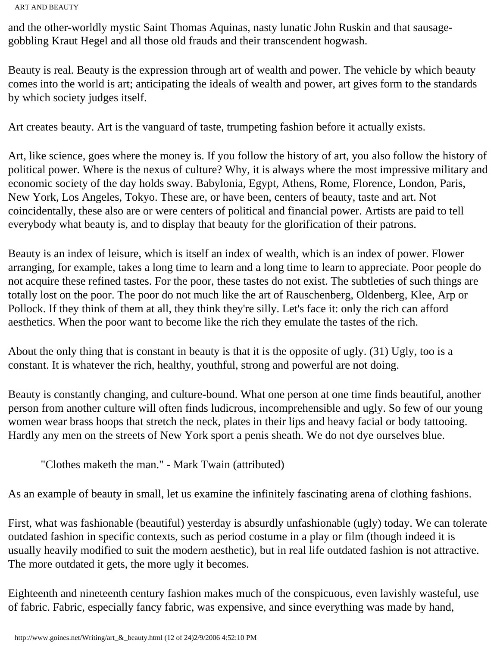```
ART AND BEAUTY
```
and the other-worldly mystic Saint Thomas Aquinas, nasty lunatic John Ruskin and that sausagegobbling Kraut Hegel and all those old frauds and their transcendent hogwash.

Beauty is real. Beauty is the expression through art of wealth and power. The vehicle by which beauty comes into the world is art; anticipating the ideals of wealth and power, art gives form to the standards by which society judges itself.

Art creates beauty. Art is the vanguard of taste, trumpeting fashion before it actually exists.

Art, like science, goes where the money is. If you follow the history of art, you also follow the history of political power. Where is the nexus of culture? Why, it is always where the most impressive military and economic society of the day holds sway. Babylonia, Egypt, Athens, Rome, Florence, London, Paris, New York, Los Angeles, Tokyo. These are, or have been, centers of beauty, taste and art. Not coincidentally, these also are or were centers of political and financial power. Artists are paid to tell everybody what beauty is, and to display that beauty for the glorification of their patrons.

Beauty is an index of leisure, which is itself an index of wealth, which is an index of power. Flower arranging, for example, takes a long time to learn and a long time to learn to appreciate. Poor people do not acquire these refined tastes. For the poor, these tastes do not exist. The subtleties of such things are totally lost on the poor. The poor do not much like the art of Rauschenberg, Oldenberg, Klee, Arp or Pollock. If they think of them at all, they think they're silly. Let's face it: only the rich can afford aesthetics. When the poor want to become like the rich they emulate the tastes of the rich.

About the only thing that is constant in beauty is that it is the opposite of ugly. (31) Ugly, too is a constant. It is whatever the rich, healthy, youthful, strong and powerful are not doing.

Beauty is constantly changing, and culture-bound. What one person at one time finds beautiful, another person from another culture will often finds ludicrous, incomprehensible and ugly. So few of our young women wear brass hoops that stretch the neck, plates in their lips and heavy facial or body tattooing. Hardly any men on the streets of New York sport a penis sheath. We do not dye ourselves blue.

"Clothes maketh the man." - Mark Twain (attributed)

As an example of beauty in small, let us examine the infinitely fascinating arena of clothing fashions.

First, what was fashionable (beautiful) yesterday is absurdly unfashionable (ugly) today. We can tolerate outdated fashion in specific contexts, such as period costume in a play or film (though indeed it is usually heavily modified to suit the modern aesthetic), but in real life outdated fashion is not attractive. The more outdated it gets, the more ugly it becomes.

Eighteenth and nineteenth century fashion makes much of the conspicuous, even lavishly wasteful, use of fabric. Fabric, especially fancy fabric, was expensive, and since everything was made by hand,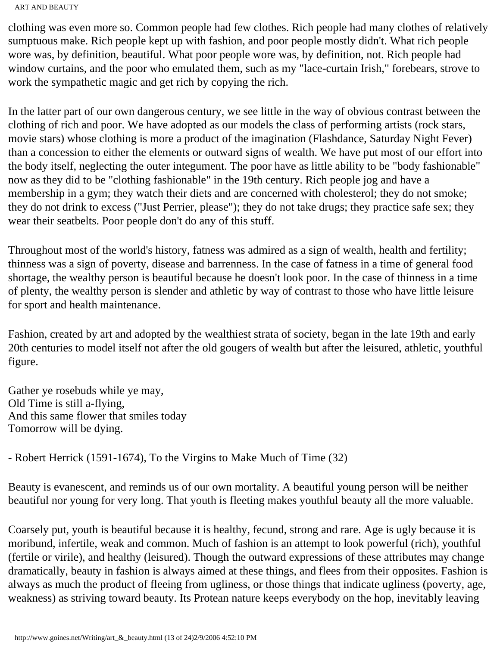clothing was even more so. Common people had few clothes. Rich people had many clothes of relatively sumptuous make. Rich people kept up with fashion, and poor people mostly didn't. What rich people wore was, by definition, beautiful. What poor people wore was, by definition, not. Rich people had window curtains, and the poor who emulated them, such as my "lace-curtain Irish," forebears, strove to work the sympathetic magic and get rich by copying the rich.

In the latter part of our own dangerous century, we see little in the way of obvious contrast between the clothing of rich and poor. We have adopted as our models the class of performing artists (rock stars, movie stars) whose clothing is more a product of the imagination (Flashdance, Saturday Night Fever) than a concession to either the elements or outward signs of wealth. We have put most of our effort into the body itself, neglecting the outer integument. The poor have as little ability to be "body fashionable" now as they did to be "clothing fashionable" in the 19th century. Rich people jog and have a membership in a gym; they watch their diets and are concerned with cholesterol; they do not smoke; they do not drink to excess ("Just Perrier, please"); they do not take drugs; they practice safe sex; they wear their seatbelts. Poor people don't do any of this stuff.

Throughout most of the world's history, fatness was admired as a sign of wealth, health and fertility; thinness was a sign of poverty, disease and barrenness. In the case of fatness in a time of general food shortage, the wealthy person is beautiful because he doesn't look poor. In the case of thinness in a time of plenty, the wealthy person is slender and athletic by way of contrast to those who have little leisure for sport and health maintenance.

Fashion, created by art and adopted by the wealthiest strata of society, began in the late 19th and early 20th centuries to model itself not after the old gougers of wealth but after the leisured, athletic, youthful figure.

Gather ye rosebuds while ye may, Old Time is still a-flying, And this same flower that smiles today Tomorrow will be dying.

- Robert Herrick (1591-1674), To the Virgins to Make Much of Time (32)

Beauty is evanescent, and reminds us of our own mortality. A beautiful young person will be neither beautiful nor young for very long. That youth is fleeting makes youthful beauty all the more valuable.

Coarsely put, youth is beautiful because it is healthy, fecund, strong and rare. Age is ugly because it is moribund, infertile, weak and common. Much of fashion is an attempt to look powerful (rich), youthful (fertile or virile), and healthy (leisured). Though the outward expressions of these attributes may change dramatically, beauty in fashion is always aimed at these things, and flees from their opposites. Fashion is always as much the product of fleeing from ugliness, or those things that indicate ugliness (poverty, age, weakness) as striving toward beauty. Its Protean nature keeps everybody on the hop, inevitably leaving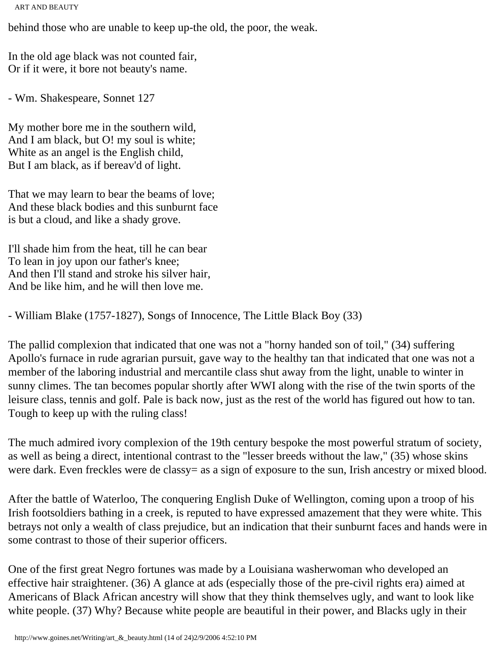behind those who are unable to keep up-the old, the poor, the weak.

In the old age black was not counted fair, Or if it were, it bore not beauty's name.

- Wm. Shakespeare, Sonnet 127

My mother bore me in the southern wild, And I am black, but O! my soul is white; White as an angel is the English child, But I am black, as if bereav'd of light.

That we may learn to bear the beams of love; And these black bodies and this sunburnt face is but a cloud, and like a shady grove.

I'll shade him from the heat, till he can bear To lean in joy upon our father's knee; And then I'll stand and stroke his silver hair, And be like him, and he will then love me.

- William Blake (1757-1827), Songs of Innocence, The Little Black Boy (33)

The pallid complexion that indicated that one was not a "horny handed son of toil," (34) suffering Apollo's furnace in rude agrarian pursuit, gave way to the healthy tan that indicated that one was not a member of the laboring industrial and mercantile class shut away from the light, unable to winter in sunny climes. The tan becomes popular shortly after WWI along with the rise of the twin sports of the leisure class, tennis and golf. Pale is back now, just as the rest of the world has figured out how to tan. Tough to keep up with the ruling class!

The much admired ivory complexion of the 19th century bespoke the most powerful stratum of society, as well as being a direct, intentional contrast to the "lesser breeds without the law," (35) whose skins were dark. Even freckles were de classy= as a sign of exposure to the sun, Irish ancestry or mixed blood.

After the battle of Waterloo, The conquering English Duke of Wellington, coming upon a troop of his Irish footsoldiers bathing in a creek, is reputed to have expressed amazement that they were white. This betrays not only a wealth of class prejudice, but an indication that their sunburnt faces and hands were in some contrast to those of their superior officers.

One of the first great Negro fortunes was made by a Louisiana washerwoman who developed an effective hair straightener. (36) A glance at ads (especially those of the pre-civil rights era) aimed at Americans of Black African ancestry will show that they think themselves ugly, and want to look like white people. (37) Why? Because white people are beautiful in their power, and Blacks ugly in their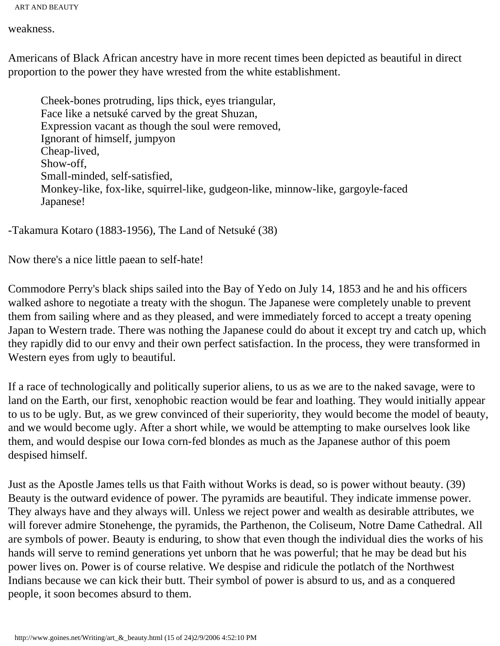weakness.

Americans of Black African ancestry have in more recent times been depicted as beautiful in direct proportion to the power they have wrested from the white establishment.

Cheek-bones protruding, lips thick, eyes triangular, Face like a netsuké carved by the great Shuzan, Expression vacant as though the soul were removed, Ignorant of himself, jumpyon Cheap-lived, Show-off, Small-minded, self-satisfied, Monkey-like, fox-like, squirrel-like, gudgeon-like, minnow-like, gargoyle-faced Japanese!

-Takamura Kotaro (1883-1956), The Land of Netsuké (38)

Now there's a nice little paean to self-hate!

Commodore Perry's black ships sailed into the Bay of Yedo on July 14, 1853 and he and his officers walked ashore to negotiate a treaty with the shogun. The Japanese were completely unable to prevent them from sailing where and as they pleased, and were immediately forced to accept a treaty opening Japan to Western trade. There was nothing the Japanese could do about it except try and catch up, which they rapidly did to our envy and their own perfect satisfaction. In the process, they were transformed in Western eyes from ugly to beautiful.

If a race of technologically and politically superior aliens, to us as we are to the naked savage, were to land on the Earth, our first, xenophobic reaction would be fear and loathing. They would initially appear to us to be ugly. But, as we grew convinced of their superiority, they would become the model of beauty, and we would become ugly. After a short while, we would be attempting to make ourselves look like them, and would despise our Iowa corn-fed blondes as much as the Japanese author of this poem despised himself.

Just as the Apostle James tells us that Faith without Works is dead, so is power without beauty. (39) Beauty is the outward evidence of power. The pyramids are beautiful. They indicate immense power. They always have and they always will. Unless we reject power and wealth as desirable attributes, we will forever admire Stonehenge, the pyramids, the Parthenon, the Coliseum, Notre Dame Cathedral. All are symbols of power. Beauty is enduring, to show that even though the individual dies the works of his hands will serve to remind generations yet unborn that he was powerful; that he may be dead but his power lives on. Power is of course relative. We despise and ridicule the potlatch of the Northwest Indians because we can kick their butt. Their symbol of power is absurd to us, and as a conquered people, it soon becomes absurd to them.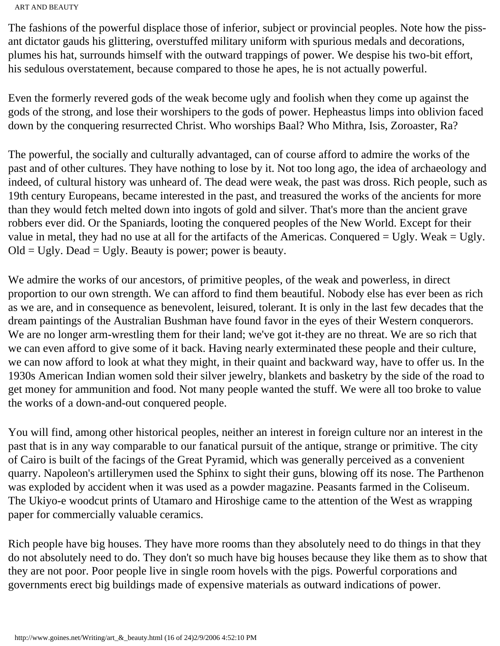```
ART AND BEAUTY
```
The fashions of the powerful displace those of inferior, subject or provincial peoples. Note how the pissant dictator gauds his glittering, overstuffed military uniform with spurious medals and decorations, plumes his hat, surrounds himself with the outward trappings of power. We despise his two-bit effort, his sedulous overstatement, because compared to those he apes, he is not actually powerful.

Even the formerly revered gods of the weak become ugly and foolish when they come up against the gods of the strong, and lose their worshipers to the gods of power. Hepheastus limps into oblivion faced down by the conquering resurrected Christ. Who worships Baal? Who Mithra, Isis, Zoroaster, Ra?

The powerful, the socially and culturally advantaged, can of course afford to admire the works of the past and of other cultures. They have nothing to lose by it. Not too long ago, the idea of archaeology and indeed, of cultural history was unheard of. The dead were weak, the past was dross. Rich people, such as 19th century Europeans, became interested in the past, and treasured the works of the ancients for more than they would fetch melted down into ingots of gold and silver. That's more than the ancient grave robbers ever did. Or the Spaniards, looting the conquered peoples of the New World. Except for their value in metal, they had no use at all for the artifacts of the Americas. Conquered = Ugly. Weak = Ugly.  $Old = Ugly. Dead = Ugly. Beauty is power; power is beauty.$ 

We admire the works of our ancestors, of primitive peoples, of the weak and powerless, in direct proportion to our own strength. We can afford to find them beautiful. Nobody else has ever been as rich as we are, and in consequence as benevolent, leisured, tolerant. It is only in the last few decades that the dream paintings of the Australian Bushman have found favor in the eyes of their Western conquerors. We are no longer arm-wrestling them for their land; we've got it-they are no threat. We are so rich that we can even afford to give some of it back. Having nearly exterminated these people and their culture, we can now afford to look at what they might, in their quaint and backward way, have to offer us. In the 1930s American Indian women sold their silver jewelry, blankets and basketry by the side of the road to get money for ammunition and food. Not many people wanted the stuff. We were all too broke to value the works of a down-and-out conquered people.

You will find, among other historical peoples, neither an interest in foreign culture nor an interest in the past that is in any way comparable to our fanatical pursuit of the antique, strange or primitive. The city of Cairo is built of the facings of the Great Pyramid, which was generally perceived as a convenient quarry. Napoleon's artillerymen used the Sphinx to sight their guns, blowing off its nose. The Parthenon was exploded by accident when it was used as a powder magazine. Peasants farmed in the Coliseum. The Ukiyo-e woodcut prints of Utamaro and Hiroshige came to the attention of the West as wrapping paper for commercially valuable ceramics.

Rich people have big houses. They have more rooms than they absolutely need to do things in that they do not absolutely need to do. They don't so much have big houses because they like them as to show that they are not poor. Poor people live in single room hovels with the pigs. Powerful corporations and governments erect big buildings made of expensive materials as outward indications of power.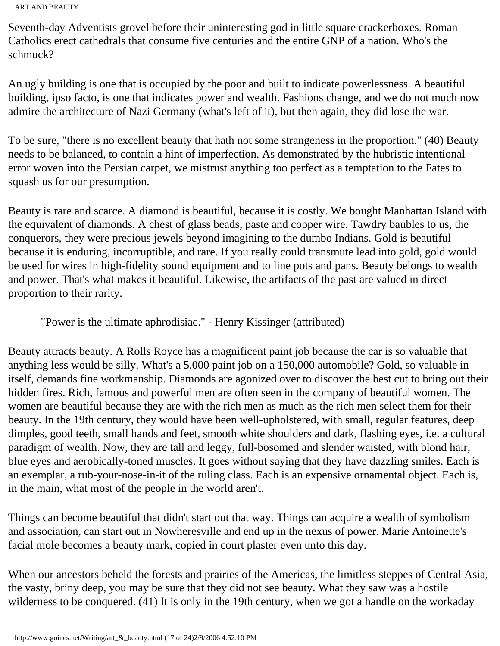```
ART AND BEAUTY
```
Seventh-day Adventists grovel before their uninteresting god in little square crackerboxes. Roman Catholics erect cathedrals that consume five centuries and the entire GNP of a nation. Who's the schmuck?

An ugly building is one that is occupied by the poor and built to indicate powerlessness. A beautiful building, ipso facto, is one that indicates power and wealth. Fashions change, and we do not much now admire the architecture of Nazi Germany (what's left of it), but then again, they did lose the war.

To be sure, "there is no excellent beauty that hath not some strangeness in the proportion." (40) Beauty needs to be balanced, to contain a hint of imperfection. As demonstrated by the hubristic intentional error woven into the Persian carpet, we mistrust anything too perfect as a temptation to the Fates to squash us for our presumption.

Beauty is rare and scarce. A diamond is beautiful, because it is costly. We bought Manhattan Island with the equivalent of diamonds. A chest of glass beads, paste and copper wire. Tawdry baubles to us, the conquerors, they were precious jewels beyond imagining to the dumbo Indians. Gold is beautiful because it is enduring, incorruptible, and rare. If you really could transmute lead into gold, gold would be used for wires in high-fidelity sound equipment and to line pots and pans. Beauty belongs to wealth and power. That's what makes it beautiful. Likewise, the artifacts of the past are valued in direct proportion to their rarity.

"Power is the ultimate aphrodisiac." - Henry Kissinger (attributed)

Beauty attracts beauty. A Rolls Royce has a magnificent paint job because the car is so valuable that anything less would be silly. What's a 5,000 paint job on a 150,000 automobile? Gold, so valuable in itself, demands fine workmanship. Diamonds are agonized over to discover the best cut to bring out their hidden fires. Rich, famous and powerful men are often seen in the company of beautiful women. The women are beautiful because they are with the rich men as much as the rich men select them for their beauty. In the 19th century, they would have been well-upholstered, with small, regular features, deep dimples, good teeth, small hands and feet, smooth white shoulders and dark, flashing eyes, i.e. a cultural paradigm of wealth. Now, they are tall and leggy, full-bosomed and slender waisted, with blond hair, blue eyes and aerobically-toned muscles. It goes without saying that they have dazzling smiles. Each is an exemplar, a rub-your-nose-in-it of the ruling class. Each is an expensive ornamental object. Each is, in the main, what most of the people in the world aren't.

Things can become beautiful that didn't start out that way. Things can acquire a wealth of symbolism and association, can start out in Nowheresville and end up in the nexus of power. Marie Antoinette's facial mole becomes a beauty mark, copied in court plaster even unto this day.

When our ancestors beheld the forests and prairies of the Americas, the limitless steppes of Central Asia, the vasty, briny deep, you may be sure that they did not see beauty. What they saw was a hostile wilderness to be conquered. (41) It is only in the 19th century, when we got a handle on the workaday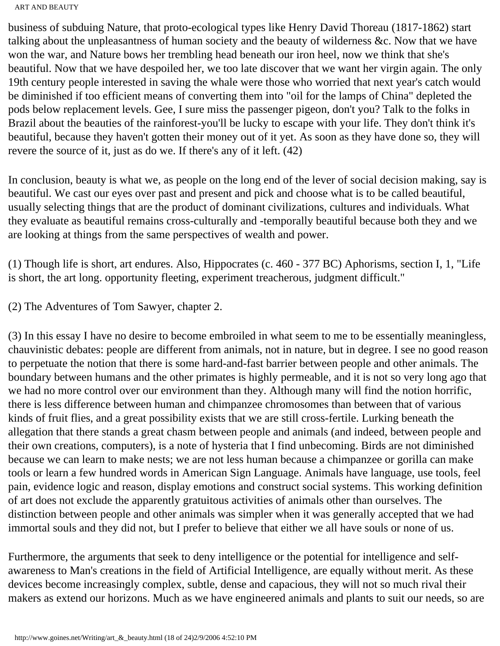business of subduing Nature, that proto-ecological types like Henry David Thoreau (1817-1862) start talking about the unpleasantness of human society and the beauty of wilderness &c. Now that we have won the war, and Nature bows her trembling head beneath our iron heel, now we think that she's beautiful. Now that we have despoiled her, we too late discover that we want her virgin again. The only 19th century people interested in saving the whale were those who worried that next year's catch would be diminished if too efficient means of converting them into "oil for the lamps of China" depleted the pods below replacement levels. Gee, I sure miss the passenger pigeon, don't you? Talk to the folks in Brazil about the beauties of the rainforest-you'll be lucky to escape with your life. They don't think it's beautiful, because they haven't gotten their money out of it yet. As soon as they have done so, they will revere the source of it, just as do we. If there's any of it left. (42)

In conclusion, beauty is what we, as people on the long end of the lever of social decision making, say is beautiful. We cast our eyes over past and present and pick and choose what is to be called beautiful, usually selecting things that are the product of dominant civilizations, cultures and individuals. What they evaluate as beautiful remains cross-culturally and -temporally beautiful because both they and we are looking at things from the same perspectives of wealth and power.

(1) Though life is short, art endures. Also, Hippocrates (c. 460 - 377 BC) Aphorisms, section I, 1, "Life is short, the art long. opportunity fleeting, experiment treacherous, judgment difficult."

(2) The Adventures of Tom Sawyer, chapter 2.

(3) In this essay I have no desire to become embroiled in what seem to me to be essentially meaningless, chauvinistic debates: people are different from animals, not in nature, but in degree. I see no good reason to perpetuate the notion that there is some hard-and-fast barrier between people and other animals. The boundary between humans and the other primates is highly permeable, and it is not so very long ago that we had no more control over our environment than they. Although many will find the notion horrific, there is less difference between human and chimpanzee chromosomes than between that of various kinds of fruit flies, and a great possibility exists that we are still cross-fertile. Lurking beneath the allegation that there stands a great chasm between people and animals (and indeed, between people and their own creations, computers), is a note of hysteria that I find unbecoming. Birds are not diminished because we can learn to make nests; we are not less human because a chimpanzee or gorilla can make tools or learn a few hundred words in American Sign Language. Animals have language, use tools, feel pain, evidence logic and reason, display emotions and construct social systems. This working definition of art does not exclude the apparently gratuitous activities of animals other than ourselves. The distinction between people and other animals was simpler when it was generally accepted that we had immortal souls and they did not, but I prefer to believe that either we all have souls or none of us.

Furthermore, the arguments that seek to deny intelligence or the potential for intelligence and selfawareness to Man's creations in the field of Artificial Intelligence, are equally without merit. As these devices become increasingly complex, subtle, dense and capacious, they will not so much rival their makers as extend our horizons. Much as we have engineered animals and plants to suit our needs, so are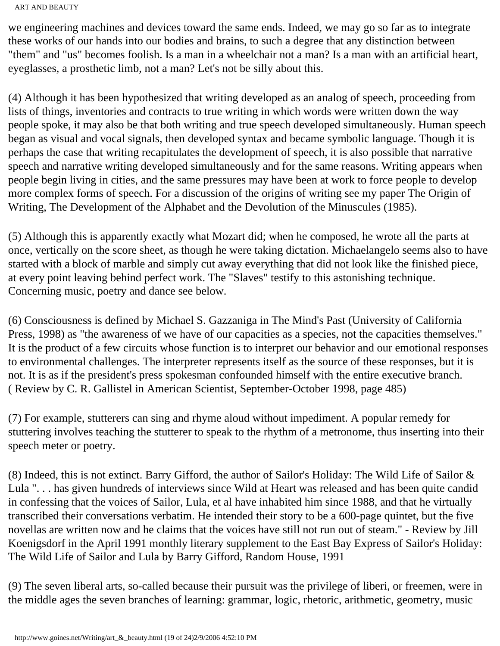```
ART AND BEAUTY
```
we engineering machines and devices toward the same ends. Indeed, we may go so far as to integrate these works of our hands into our bodies and brains, to such a degree that any distinction between "them" and "us" becomes foolish. Is a man in a wheelchair not a man? Is a man with an artificial heart, eyeglasses, a prosthetic limb, not a man? Let's not be silly about this.

(4) Although it has been hypothesized that writing developed as an analog of speech, proceeding from lists of things, inventories and contracts to true writing in which words were written down the way people spoke, it may also be that both writing and true speech developed simultaneously. Human speech began as visual and vocal signals, then developed syntax and became symbolic language. Though it is perhaps the case that writing recapitulates the development of speech, it is also possible that narrative speech and narrative writing developed simultaneously and for the same reasons. Writing appears when people begin living in cities, and the same pressures may have been at work to force people to develop more complex forms of speech. For a discussion of the origins of writing see my paper The Origin of Writing, The Development of the Alphabet and the Devolution of the Minuscules (1985).

(5) Although this is apparently exactly what Mozart did; when he composed, he wrote all the parts at once, vertically on the score sheet, as though he were taking dictation. Michaelangelo seems also to have started with a block of marble and simply cut away everything that did not look like the finished piece, at every point leaving behind perfect work. The "Slaves" testify to this astonishing technique. Concerning music, poetry and dance see below.

(6) Consciousness is defined by Michael S. Gazzaniga in The Mind's Past (University of California Press, 1998) as "the awareness of we have of our capacities as a species, not the capacities themselves." It is the product of a few circuits whose function is to interpret our behavior and our emotional responses to environmental challenges. The interpreter represents itself as the source of these responses, but it is not. It is as if the president's press spokesman confounded himself with the entire executive branch. ( Review by C. R. Gallistel in American Scientist, September-October 1998, page 485)

(7) For example, stutterers can sing and rhyme aloud without impediment. A popular remedy for stuttering involves teaching the stutterer to speak to the rhythm of a metronome, thus inserting into their speech meter or poetry.

(8) Indeed, this is not extinct. Barry Gifford, the author of Sailor's Holiday: The Wild Life of Sailor & Lula ". . . has given hundreds of interviews since Wild at Heart was released and has been quite candid in confessing that the voices of Sailor, Lula, et al have inhabited him since 1988, and that he virtually transcribed their conversations verbatim. He intended their story to be a 600-page quintet, but the five novellas are written now and he claims that the voices have still not run out of steam." - Review by Jill Koenigsdorf in the April 1991 monthly literary supplement to the East Bay Express of Sailor's Holiday: The Wild Life of Sailor and Lula by Barry Gifford, Random House, 1991

(9) The seven liberal arts, so-called because their pursuit was the privilege of liberi, or freemen, were in the middle ages the seven branches of learning: grammar, logic, rhetoric, arithmetic, geometry, music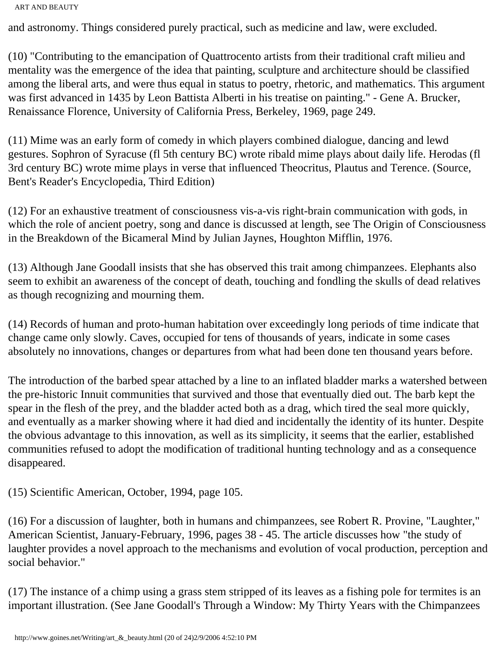and astronomy. Things considered purely practical, such as medicine and law, were excluded.

(10) "Contributing to the emancipation of Quattrocento artists from their traditional craft milieu and mentality was the emergence of the idea that painting, sculpture and architecture should be classified among the liberal arts, and were thus equal in status to poetry, rhetoric, and mathematics. This argument was first advanced in 1435 by Leon Battista Alberti in his treatise on painting." - Gene A. Brucker, Renaissance Florence, University of California Press, Berkeley, 1969, page 249.

(11) Mime was an early form of comedy in which players combined dialogue, dancing and lewd gestures. Sophron of Syracuse (fl 5th century BC) wrote ribald mime plays about daily life. Herodas (fl 3rd century BC) wrote mime plays in verse that influenced Theocritus, Plautus and Terence. (Source, Bent's Reader's Encyclopedia, Third Edition)

(12) For an exhaustive treatment of consciousness vis-a-vis right-brain communication with gods, in which the role of ancient poetry, song and dance is discussed at length, see The Origin of Consciousness in the Breakdown of the Bicameral Mind by Julian Jaynes, Houghton Mifflin, 1976.

(13) Although Jane Goodall insists that she has observed this trait among chimpanzees. Elephants also seem to exhibit an awareness of the concept of death, touching and fondling the skulls of dead relatives as though recognizing and mourning them.

(14) Records of human and proto-human habitation over exceedingly long periods of time indicate that change came only slowly. Caves, occupied for tens of thousands of years, indicate in some cases absolutely no innovations, changes or departures from what had been done ten thousand years before.

The introduction of the barbed spear attached by a line to an inflated bladder marks a watershed between the pre-historic Innuit communities that survived and those that eventually died out. The barb kept the spear in the flesh of the prey, and the bladder acted both as a drag, which tired the seal more quickly, and eventually as a marker showing where it had died and incidentally the identity of its hunter. Despite the obvious advantage to this innovation, as well as its simplicity, it seems that the earlier, established communities refused to adopt the modification of traditional hunting technology and as a consequence disappeared.

(15) Scientific American, October, 1994, page 105.

(16) For a discussion of laughter, both in humans and chimpanzees, see Robert R. Provine, "Laughter," American Scientist, January-February, 1996, pages 38 - 45. The article discusses how "the study of laughter provides a novel approach to the mechanisms and evolution of vocal production, perception and social behavior."

(17) The instance of a chimp using a grass stem stripped of its leaves as a fishing pole for termites is an important illustration. (See Jane Goodall's Through a Window: My Thirty Years with the Chimpanzees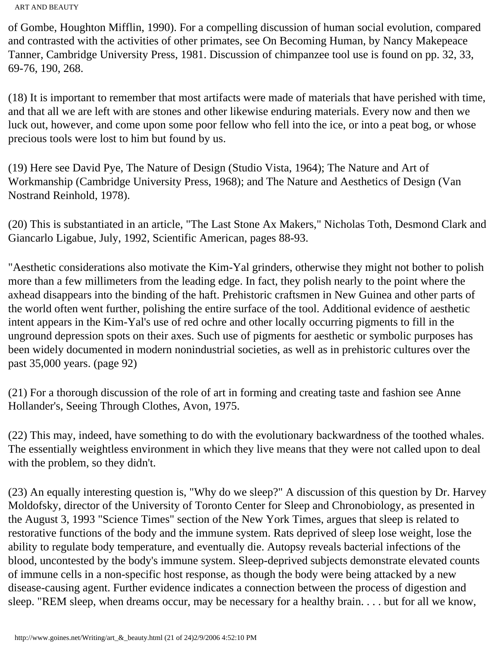```
ART AND BEAUTY
```
of Gombe, Houghton Mifflin, 1990). For a compelling discussion of human social evolution, compared and contrasted with the activities of other primates, see On Becoming Human, by Nancy Makepeace Tanner, Cambridge University Press, 1981. Discussion of chimpanzee tool use is found on pp. 32, 33, 69-76, 190, 268.

(18) It is important to remember that most artifacts were made of materials that have perished with time, and that all we are left with are stones and other likewise enduring materials. Every now and then we luck out, however, and come upon some poor fellow who fell into the ice, or into a peat bog, or whose precious tools were lost to him but found by us.

(19) Here see David Pye, The Nature of Design (Studio Vista, 1964); The Nature and Art of Workmanship (Cambridge University Press, 1968); and The Nature and Aesthetics of Design (Van Nostrand Reinhold, 1978).

(20) This is substantiated in an article, "The Last Stone Ax Makers," Nicholas Toth, Desmond Clark and Giancarlo Ligabue, July, 1992, Scientific American, pages 88-93.

"Aesthetic considerations also motivate the Kim-Yal grinders, otherwise they might not bother to polish more than a few millimeters from the leading edge. In fact, they polish nearly to the point where the axhead disappears into the binding of the haft. Prehistoric craftsmen in New Guinea and other parts of the world often went further, polishing the entire surface of the tool. Additional evidence of aesthetic intent appears in the Kim-Yal's use of red ochre and other locally occurring pigments to fill in the unground depression spots on their axes. Such use of pigments for aesthetic or symbolic purposes has been widely documented in modern nonindustrial societies, as well as in prehistoric cultures over the past 35,000 years. (page 92)

(21) For a thorough discussion of the role of art in forming and creating taste and fashion see Anne Hollander's, Seeing Through Clothes, Avon, 1975.

(22) This may, indeed, have something to do with the evolutionary backwardness of the toothed whales. The essentially weightless environment in which they live means that they were not called upon to deal with the problem, so they didn't.

(23) An equally interesting question is, "Why do we sleep?" A discussion of this question by Dr. Harvey Moldofsky, director of the University of Toronto Center for Sleep and Chronobiology, as presented in the August 3, 1993 "Science Times" section of the New York Times, argues that sleep is related to restorative functions of the body and the immune system. Rats deprived of sleep lose weight, lose the ability to regulate body temperature, and eventually die. Autopsy reveals bacterial infections of the blood, uncontested by the body's immune system. Sleep-deprived subjects demonstrate elevated counts of immune cells in a non-specific host response, as though the body were being attacked by a new disease-causing agent. Further evidence indicates a connection between the process of digestion and sleep. "REM sleep, when dreams occur, may be necessary for a healthy brain. . . . but for all we know,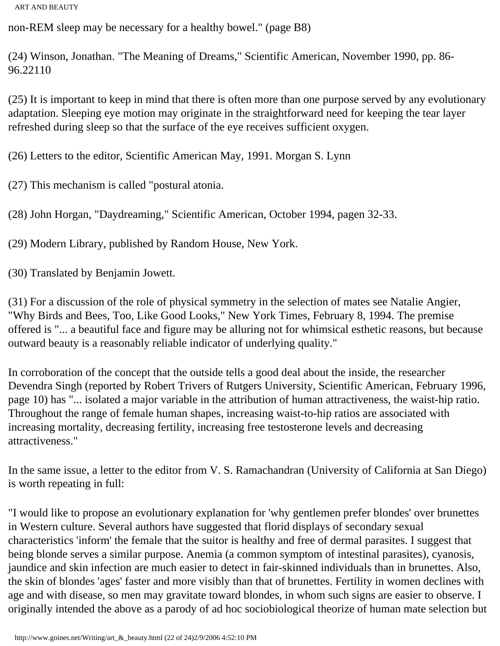non-REM sleep may be necessary for a healthy bowel." (page B8)

(24) Winson, Jonathan. "The Meaning of Dreams," Scientific American, November 1990, pp. 86- 96.22110

(25) It is important to keep in mind that there is often more than one purpose served by any evolutionary adaptation. Sleeping eye motion may originate in the straightforward need for keeping the tear layer refreshed during sleep so that the surface of the eye receives sufficient oxygen.

(26) Letters to the editor, Scientific American May, 1991. Morgan S. Lynn

(27) This mechanism is called "postural atonia.

(28) John Horgan, "Daydreaming," Scientific American, October 1994, pagen 32-33.

(29) Modern Library, published by Random House, New York.

(30) Translated by Benjamin Jowett.

(31) For a discussion of the role of physical symmetry in the selection of mates see Natalie Angier, "Why Birds and Bees, Too, Like Good Looks," New York Times, February 8, 1994. The premise offered is "... a beautiful face and figure may be alluring not for whimsical esthetic reasons, but because outward beauty is a reasonably reliable indicator of underlying quality."

In corroboration of the concept that the outside tells a good deal about the inside, the researcher Devendra Singh (reported by Robert Trivers of Rutgers University, Scientific American, February 1996, page 10) has "... isolated a major variable in the attribution of human attractiveness, the waist-hip ratio. Throughout the range of female human shapes, increasing waist-to-hip ratios are associated with increasing mortality, decreasing fertility, increasing free testosterone levels and decreasing attractiveness."

In the same issue, a letter to the editor from V. S. Ramachandran (University of California at San Diego) is worth repeating in full:

"I would like to propose an evolutionary explanation for 'why gentlemen prefer blondes' over brunettes in Western culture. Several authors have suggested that florid displays of secondary sexual characteristics 'inform' the female that the suitor is healthy and free of dermal parasites. I suggest that being blonde serves a similar purpose. Anemia (a common symptom of intestinal parasites), cyanosis, jaundice and skin infection are much easier to detect in fair-skinned individuals than in brunettes. Also, the skin of blondes 'ages' faster and more visibly than that of brunettes. Fertility in women declines with age and with disease, so men may gravitate toward blondes, in whom such signs are easier to observe. I originally intended the above as a parody of ad hoc sociobiological theorize of human mate selection but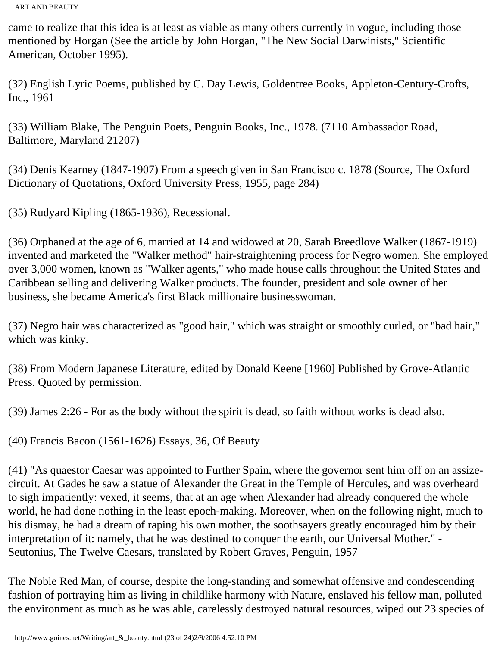came to realize that this idea is at least as viable as many others currently in vogue, including those mentioned by Horgan (See the article by John Horgan, "The New Social Darwinists," Scientific American, October 1995).

(32) English Lyric Poems, published by C. Day Lewis, Goldentree Books, Appleton-Century-Crofts, Inc., 1961

(33) William Blake, The Penguin Poets, Penguin Books, Inc., 1978. (7110 Ambassador Road, Baltimore, Maryland 21207)

(34) Denis Kearney (1847-1907) From a speech given in San Francisco c. 1878 (Source, The Oxford Dictionary of Quotations, Oxford University Press, 1955, page 284)

(35) Rudyard Kipling (1865-1936), Recessional.

(36) Orphaned at the age of 6, married at 14 and widowed at 20, Sarah Breedlove Walker (1867-1919) invented and marketed the "Walker method" hair-straightening process for Negro women. She employed over 3,000 women, known as "Walker agents," who made house calls throughout the United States and Caribbean selling and delivering Walker products. The founder, president and sole owner of her business, she became America's first Black millionaire businesswoman.

(37) Negro hair was characterized as "good hair," which was straight or smoothly curled, or "bad hair," which was kinky.

(38) From Modern Japanese Literature, edited by Donald Keene [1960] Published by Grove-Atlantic Press. Quoted by permission.

(39) James 2:26 - For as the body without the spirit is dead, so faith without works is dead also.

(40) Francis Bacon (1561-1626) Essays, 36, Of Beauty

(41) "As quaestor Caesar was appointed to Further Spain, where the governor sent him off on an assizecircuit. At Gades he saw a statue of Alexander the Great in the Temple of Hercules, and was overheard to sigh impatiently: vexed, it seems, that at an age when Alexander had already conquered the whole world, he had done nothing in the least epoch-making. Moreover, when on the following night, much to his dismay, he had a dream of raping his own mother, the soothsayers greatly encouraged him by their interpretation of it: namely, that he was destined to conquer the earth, our Universal Mother." - Seutonius, The Twelve Caesars, translated by Robert Graves, Penguin, 1957

The Noble Red Man, of course, despite the long-standing and somewhat offensive and condescending fashion of portraying him as living in childlike harmony with Nature, enslaved his fellow man, polluted the environment as much as he was able, carelessly destroyed natural resources, wiped out 23 species of